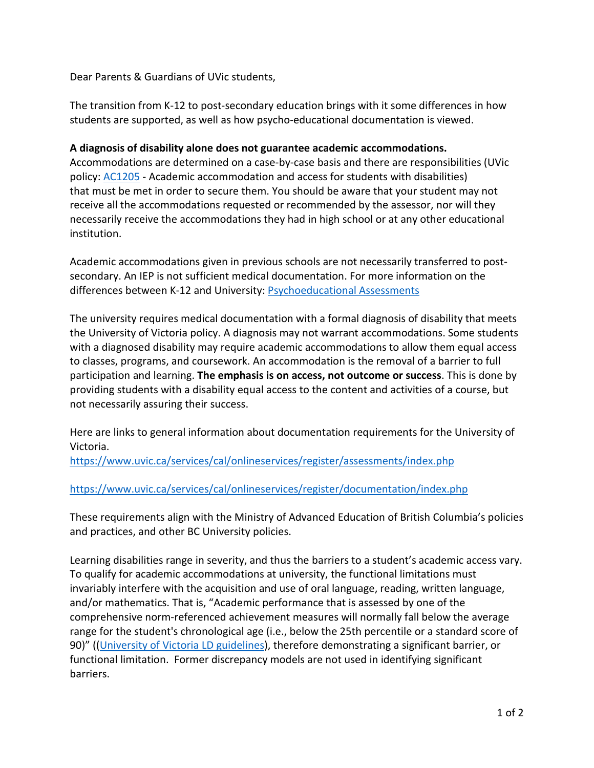Dear Parents & Guardians of UVic students,

The transition from K-12 to post-secondary education brings with it some differences in how students are supported, as well as how psycho-educational documentation is viewed.

## **A diagnosis of disability alone does not guarantee academic accommodations.**

Accommodations are determined on a case-by-case basis and there are responsibilities (UVic policy: [AC1205](https://www.uvic.ca/universitysecretary/assets/docs/policies/AC1205_2340.pdf) - Academic accommodation and access for students with disabilities) that must be met in order to secure them. You should be aware that your student may not receive all the accommodations requested or recommended by the assessor, nor will they necessarily receive the accommodations they had in high school or at any other educational institution.

Academic accommodations given in previous schools are not necessarily transferred to postsecondary. An IEP is not sufficient medical documentation. For more information on the differences between K-12 and University: [Psychoeducational Assessments](https://www.uvic.ca/services/cal/selfserve/register/assessments/index.php)

The university requires medical documentation with a formal diagnosis of disability that meets the University of Victoria policy. A diagnosis may not warrant accommodations. Some students with a diagnosed disability may require academic accommodations to allow them equal access to classes, programs, and coursework. An accommodation is the removal of a barrier to full participation and learning. **The emphasis is on access, not outcome or success**. This is done by providing students with a disability equal access to the content and activities of a course, but not necessarily assuring their success.

Here are links to general information about documentation requirements for the University of Victoria.

<https://www.uvic.ca/services/cal/onlineservices/register/assessments/index.php>

## <https://www.uvic.ca/services/cal/onlineservices/register/documentation/index.php>

These requirements align with the Ministry of Advanced Education of British Columbia's policies and practices, and other BC University policies.

Learning disabilities range in severity, and thus the barriers to a student's academic access vary. To qualify for academic accommodations at university, the functional limitations must invariably interfere with the acquisition and use of oral language, reading, written language, and/or mathematics. That is, "Academic performance that is assessed by one of the comprehensive norm-referenced achievement measures will normally fall below the average range for the student's chronological age (i.e., below the 25th percentile or a standard score of 90)" ([\(University of Victoria LD guidelines\)](https://www.uvic.ca/services/cal/selfserve/register/assessments/index.php), therefore demonstrating a significant barrier, or functional limitation. Former discrepancy models are not used in identifying significant barriers.